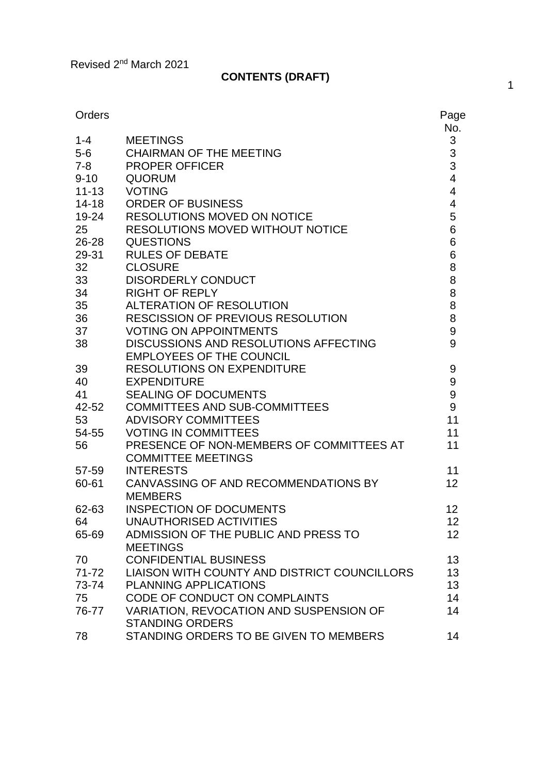# **CONTENTS (DRAFT)**

| Orders    |                                              | Page<br>No.              |
|-----------|----------------------------------------------|--------------------------|
| $1 - 4$   | <b>MEETINGS</b>                              | 3                        |
| $5-6$     | <b>CHAIRMAN OF THE MEETING</b>               |                          |
| $7 - 8$   | <b>PROPER OFFICER</b>                        | $\frac{3}{3}$            |
| $9 - 10$  | <b>QUORUM</b>                                | $\overline{\mathbf{4}}$  |
| $11 - 13$ | <b>VOTING</b>                                | $\overline{\mathbf{4}}$  |
| $14 - 18$ | <b>ORDER OF BUSINESS</b>                     | $\overline{\mathcal{A}}$ |
| 19-24     | <b>RESOLUTIONS MOVED ON NOTICE</b>           | 5                        |
| 25        | <b>RESOLUTIONS MOVED WITHOUT NOTICE</b>      | 6                        |
| 26-28     | <b>QUESTIONS</b>                             | 6                        |
| 29-31     | <b>RULES OF DEBATE</b>                       | 6                        |
| 32        | <b>CLOSURE</b>                               | 8                        |
| 33        | <b>DISORDERLY CONDUCT</b>                    | 8                        |
| 34        | <b>RIGHT OF REPLY</b>                        | 8                        |
| 35        | <b>ALTERATION OF RESOLUTION</b>              | 8                        |
| 36        | <b>RESCISSION OF PREVIOUS RESOLUTION</b>     | 8                        |
| 37        | <b>VOTING ON APPOINTMENTS</b>                | 9                        |
| 38        | <b>DISCUSSIONS AND RESOLUTIONS AFFECTING</b> | 9                        |
|           | <b>EMPLOYEES OF THE COUNCIL</b>              |                          |
| 39        | <b>RESOLUTIONS ON EXPENDITURE</b>            | 9                        |
| 40        | <b>EXPENDITURE</b>                           | $\boldsymbol{9}$         |
| 41        | <b>SEALING OF DOCUMENTS</b>                  | 9                        |
| 42-52     | <b>COMMITTEES AND SUB-COMMITTEES</b>         | 9                        |
| 53        | <b>ADVISORY COMMITTEES</b>                   | 11                       |
| 54-55     | <b>VOTING IN COMMITTEES</b>                  | 11                       |
| 56        | PRESENCE OF NON-MEMBERS OF COMMITTEES AT     | 11                       |
|           | <b>COMMITTEE MEETINGS</b>                    |                          |
| 57-59     | <b>INTERESTS</b>                             | 11                       |
| 60-61     | CANVASSING OF AND RECOMMENDATIONS BY         | 12                       |
|           | <b>MEMBERS</b>                               |                          |
| 62-63     | <b>INSPECTION OF DOCUMENTS</b>               | 12                       |
| 64        | UNAUTHORISED ACTIVITIES                      | 12                       |
| 65-69     | ADMISSION OF THE PUBLIC AND PRESS TO         | 12 <sub>2</sub>          |
|           | <b>MEETINGS</b>                              |                          |
| 70        | <b>CONFIDENTIAL BUSINESS</b>                 | 13                       |
| $71 - 72$ | LIAISON WITH COUNTY AND DISTRICT COUNCILLORS | 13                       |
| 73-74     | <b>PLANNING APPLICATIONS</b>                 | 13                       |
| 75        | CODE OF CONDUCT ON COMPLAINTS                | 14                       |
| 76-77     | VARIATION, REVOCATION AND SUSPENSION OF      | 14                       |
|           | <b>STANDING ORDERS</b>                       |                          |
| 78        | STANDING ORDERS TO BE GIVEN TO MEMBERS       | 14                       |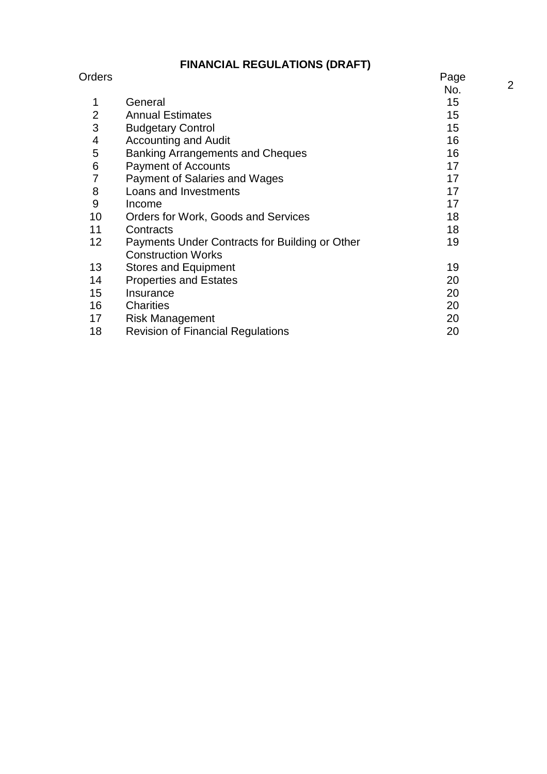## **FINANCIAL REGULATIONS (DRAFT)**

| Orders          |                                                | Page |
|-----------------|------------------------------------------------|------|
|                 |                                                | No.  |
| 1               | General                                        | 15   |
| 2               | <b>Annual Estimates</b>                        | 15   |
| 3               | <b>Budgetary Control</b>                       | 15   |
| 4               | <b>Accounting and Audit</b>                    | 16   |
| 5               | <b>Banking Arrangements and Cheques</b>        | 16   |
| 6               | <b>Payment of Accounts</b>                     | 17   |
| 7               | <b>Payment of Salaries and Wages</b>           | 17   |
| 8               | Loans and Investments                          | 17   |
| 9               | Income                                         | 17   |
| 10              | Orders for Work, Goods and Services            | 18   |
| 11              | Contracts                                      | 18   |
| 12 <sub>2</sub> | Payments Under Contracts for Building or Other | 19   |
|                 | <b>Construction Works</b>                      |      |
| 13              | <b>Stores and Equipment</b>                    | 19   |
| 14              | <b>Properties and Estates</b>                  | 20   |
| 15              | Insurance                                      | 20   |
| 16              | <b>Charities</b>                               | 20   |
| 17              | <b>Risk Management</b>                         | 20   |
| 18              | <b>Revision of Financial Regulations</b>       | 20   |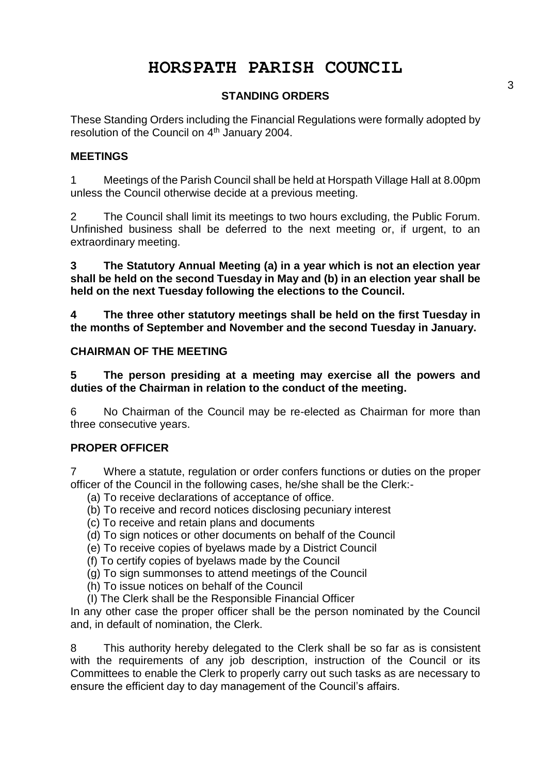# **HORSPATH PARISH COUNCIL**

## **STANDING ORDERS**

These Standing Orders including the Financial Regulations were formally adopted by resolution of the Council on 4<sup>th</sup> January 2004.

## **MEETINGS**

1 Meetings of the Parish Council shall be held at Horspath Village Hall at 8.00pm unless the Council otherwise decide at a previous meeting.

2 The Council shall limit its meetings to two hours excluding, the Public Forum. Unfinished business shall be deferred to the next meeting or, if urgent, to an extraordinary meeting.

**3 The Statutory Annual Meeting (a) in a year which is not an election year shall be held on the second Tuesday in May and (b) in an election year shall be held on the next Tuesday following the elections to the Council.**

**4 The three other statutory meetings shall be held on the first Tuesday in the months of September and November and the second Tuesday in January.**

## **CHAIRMAN OF THE MEETING**

**5 The person presiding at a meeting may exercise all the powers and duties of the Chairman in relation to the conduct of the meeting.**

6 No Chairman of the Council may be re-elected as Chairman for more than three consecutive years.

## **PROPER OFFICER**

7 Where a statute, regulation or order confers functions or duties on the proper officer of the Council in the following cases, he/she shall be the Clerk:-

- (a) To receive declarations of acceptance of office.
- (b) To receive and record notices disclosing pecuniary interest
- (c) To receive and retain plans and documents
- (d) To sign notices or other documents on behalf of the Council
- (e) To receive copies of byelaws made by a District Council
- (f) To certify copies of byelaws made by the Council
- (g) To sign summonses to attend meetings of the Council
- (h) To issue notices on behalf of the Council
- (I) The Clerk shall be the Responsible Financial Officer

In any other case the proper officer shall be the person nominated by the Council and, in default of nomination, the Clerk.

8 This authority hereby delegated to the Clerk shall be so far as is consistent with the requirements of any job description, instruction of the Council or its Committees to enable the Clerk to properly carry out such tasks as are necessary to ensure the efficient day to day management of the Council's affairs.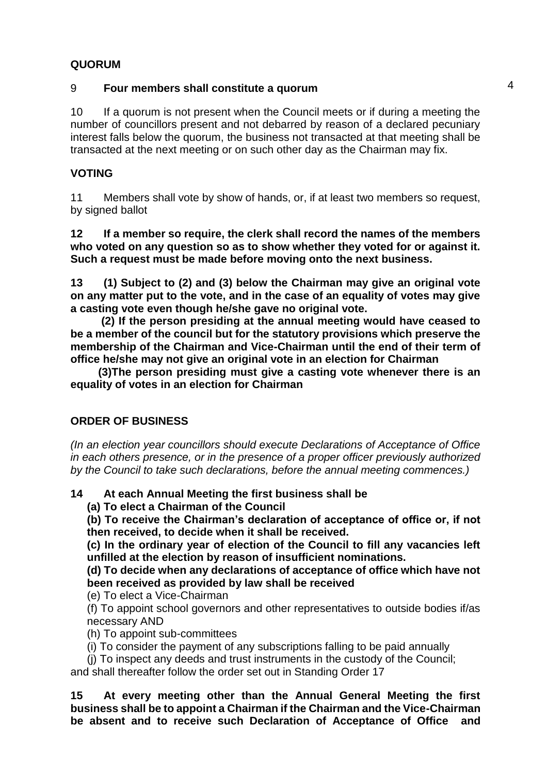## **QUORUM**

## 9 **Four members shall constitute a quorum**

10 If a quorum is not present when the Council meets or if during a meeting the number of councillors present and not debarred by reason of a declared pecuniary interest falls below the quorum, the business not transacted at that meeting shall be transacted at the next meeting or on such other day as the Chairman may fix.

## **VOTING**

11 Members shall vote by show of hands, or, if at least two members so request, by signed ballot

**12 If a member so require, the clerk shall record the names of the members who voted on any question so as to show whether they voted for or against it. Such a request must be made before moving onto the next business.**

**13 (1) Subject to (2) and (3) below the Chairman may give an original vote on any matter put to the vote, and in the case of an equality of votes may give a casting vote even though he/she gave no original vote.**

 **(2) If the person presiding at the annual meeting would have ceased to be a member of the council but for the statutory provisions which preserve the membership of the Chairman and Vice-Chairman until the end of their term of office he/she may not give an original vote in an election for Chairman**

 **(3)The person presiding must give a casting vote whenever there is an equality of votes in an election for Chairman**

## **ORDER OF BUSINESS**

*(In an election year councillors should execute Declarations of Acceptance of Office in each others presence, or in the presence of a proper officer previously authorized by the Council to take such declarations, before the annual meeting commences.)*

## **14 At each Annual Meeting the first business shall be**

**(a) To elect a Chairman of the Council**

**(b) To receive the Chairman's declaration of acceptance of office or, if not then received, to decide when it shall be received.**

**(c) In the ordinary year of election of the Council to fill any vacancies left unfilled at the election by reason of insufficient nominations.**

**(d) To decide when any declarations of acceptance of office which have not been received as provided by law shall be received**

(e) To elect a Vice-Chairman

(f) To appoint school governors and other representatives to outside bodies if/as necessary AND

(h) To appoint sub-committees

(i) To consider the payment of any subscriptions falling to be paid annually

(j) To inspect any deeds and trust instruments in the custody of the Council;

and shall thereafter follow the order set out in Standing Order 17

**15 At every meeting other than the Annual General Meeting the first business shall be to appoint a Chairman if the Chairman and the Vice-Chairman be absent and to receive such Declaration of Acceptance of Office and**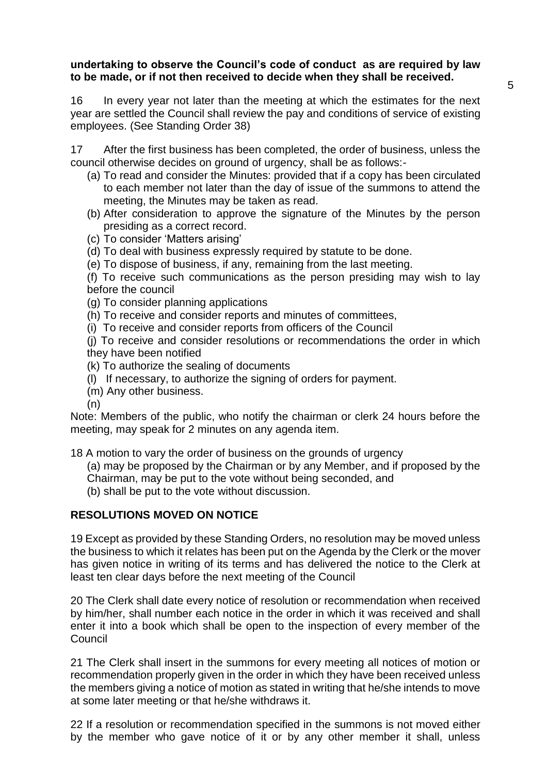## **undertaking to observe the Council's code of conduct as are required by law to be made, or if not then received to decide when they shall be received.**

16 In every year not later than the meeting at which the estimates for the next year are settled the Council shall review the pay and conditions of service of existing employees. (See Standing Order 38)

17 After the first business has been completed, the order of business, unless the council otherwise decides on ground of urgency, shall be as follows:-

- (a) To read and consider the Minutes: provided that if a copy has been circulated to each member not later than the day of issue of the summons to attend the meeting, the Minutes may be taken as read.
- (b) After consideration to approve the signature of the Minutes by the person presiding as a correct record.
- (c) To consider 'Matters arising'
- (d) To deal with business expressly required by statute to be done.
- (e) To dispose of business, if any, remaining from the last meeting.

(f) To receive such communications as the person presiding may wish to lay before the council

- (g) To consider planning applications
- (h) To receive and consider reports and minutes of committees,
- (i) To receive and consider reports from officers of the Council

(j) To receive and consider resolutions or recommendations the order in which they have been notified

- (k) To authorize the sealing of documents
- (l) If necessary, to authorize the signing of orders for payment.
- (m) Any other business.

(n)

Note: Members of the public, who notify the chairman or clerk 24 hours before the meeting, may speak for 2 minutes on any agenda item.

18 A motion to vary the order of business on the grounds of urgency

- (a) may be proposed by the Chairman or by any Member, and if proposed by the
- Chairman, may be put to the vote without being seconded, and
- (b) shall be put to the vote without discussion.

## **RESOLUTIONS MOVED ON NOTICE**

19 Except as provided by these Standing Orders, no resolution may be moved unless the business to which it relates has been put on the Agenda by the Clerk or the mover has given notice in writing of its terms and has delivered the notice to the Clerk at least ten clear days before the next meeting of the Council

20 The Clerk shall date every notice of resolution or recommendation when received by him/her, shall number each notice in the order in which it was received and shall enter it into a book which shall be open to the inspection of every member of the Council

21 The Clerk shall insert in the summons for every meeting all notices of motion or recommendation properly given in the order in which they have been received unless the members giving a notice of motion as stated in writing that he/she intends to move at some later meeting or that he/she withdraws it.

22 If a resolution or recommendation specified in the summons is not moved either by the member who gave notice of it or by any other member it shall, unless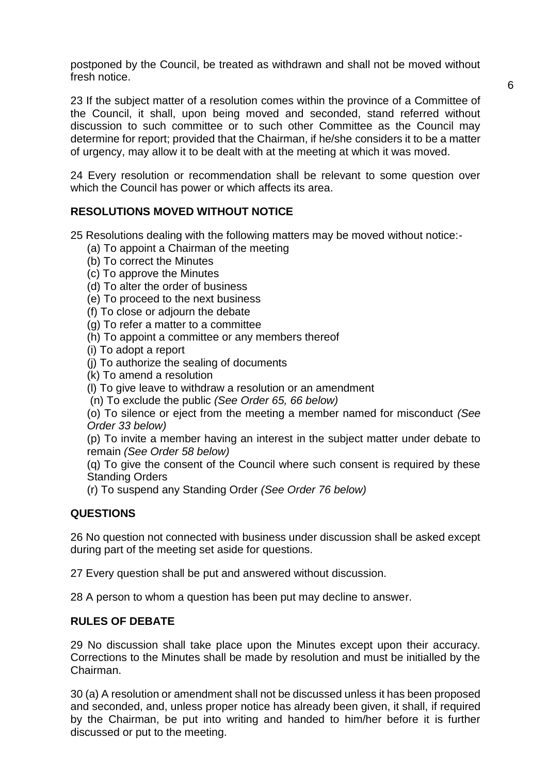postponed by the Council, be treated as withdrawn and shall not be moved without fresh notice.

23 If the subject matter of a resolution comes within the province of a Committee of the Council, it shall, upon being moved and seconded, stand referred without discussion to such committee or to such other Committee as the Council may determine for report; provided that the Chairman, if he/she considers it to be a matter of urgency, may allow it to be dealt with at the meeting at which it was moved.

24 Every resolution or recommendation shall be relevant to some question over which the Council has power or which affects its area.

## **RESOLUTIONS MOVED WITHOUT NOTICE**

25 Resolutions dealing with the following matters may be moved without notice:-

- (a) To appoint a Chairman of the meeting
- (b) To correct the Minutes
- (c) To approve the Minutes
- (d) To alter the order of business
- (e) To proceed to the next business
- (f) To close or adjourn the debate
- (g) To refer a matter to a committee
- (h) To appoint a committee or any members thereof
- (i) To adopt a report
- (j) To authorize the sealing of documents
- (k) To amend a resolution
- (l) To give leave to withdraw a resolution or an amendment
- (n) To exclude the public *(See Order 65, 66 below)*

(o) To silence or eject from the meeting a member named for misconduct *(See Order 33 below)*

(p) To invite a member having an interest in the subject matter under debate to remain *(See Order 58 below)*

(q) To give the consent of the Council where such consent is required by these Standing Orders

(r) To suspend any Standing Order *(See Order 76 below)*

## **QUESTIONS**

26 No question not connected with business under discussion shall be asked except during part of the meeting set aside for questions.

27 Every question shall be put and answered without discussion.

28 A person to whom a question has been put may decline to answer.

#### **RULES OF DEBATE**

29 No discussion shall take place upon the Minutes except upon their accuracy. Corrections to the Minutes shall be made by resolution and must be initialled by the Chairman.

30 (a) A resolution or amendment shall not be discussed unless it has been proposed and seconded, and, unless proper notice has already been given, it shall, if required by the Chairman, be put into writing and handed to him/her before it is further discussed or put to the meeting.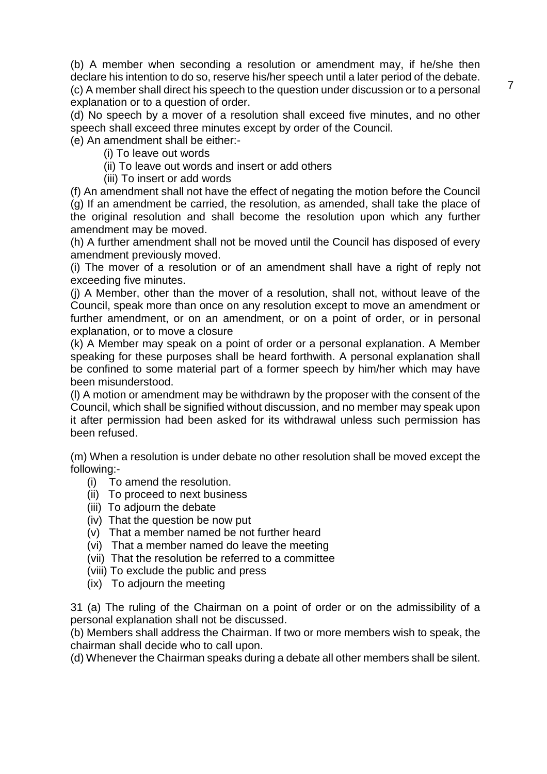(b) A member when seconding a resolution or amendment may, if he/she then declare his intention to do so, reserve his/her speech until a later period of the debate. (c) A member shall direct his speech to the question under discussion or to a personal explanation or to a question of order.

(d) No speech by a mover of a resolution shall exceed five minutes, and no other speech shall exceed three minutes except by order of the Council.

(e) An amendment shall be either:-

- (i) To leave out words
- (ii) To leave out words and insert or add others
- (iii) To insert or add words

(f) An amendment shall not have the effect of negating the motion before the Council (g) If an amendment be carried, the resolution, as amended, shall take the place of the original resolution and shall become the resolution upon which any further amendment may be moved.

(h) A further amendment shall not be moved until the Council has disposed of every amendment previously moved.

(i) The mover of a resolution or of an amendment shall have a right of reply not exceeding five minutes.

(j) A Member, other than the mover of a resolution, shall not, without leave of the Council, speak more than once on any resolution except to move an amendment or further amendment, or on an amendment, or on a point of order, or in personal explanation, or to move a closure

(k) A Member may speak on a point of order or a personal explanation. A Member speaking for these purposes shall be heard forthwith. A personal explanation shall be confined to some material part of a former speech by him/her which may have been misunderstood.

(l) A motion or amendment may be withdrawn by the proposer with the consent of the Council, which shall be signified without discussion, and no member may speak upon it after permission had been asked for its withdrawal unless such permission has been refused.

(m) When a resolution is under debate no other resolution shall be moved except the following:-

- (i) To amend the resolution.
- (ii) To proceed to next business
- (iii) To adjourn the debate
- (iv) That the question be now put
- (v) That a member named be not further heard
- (vi) That a member named do leave the meeting
- (vii) That the resolution be referred to a committee
- (viii) To exclude the public and press
- (ix) To adjourn the meeting

31 (a) The ruling of the Chairman on a point of order or on the admissibility of a personal explanation shall not be discussed.

(b) Members shall address the Chairman. If two or more members wish to speak, the chairman shall decide who to call upon.

(d) Whenever the Chairman speaks during a debate all other members shall be silent.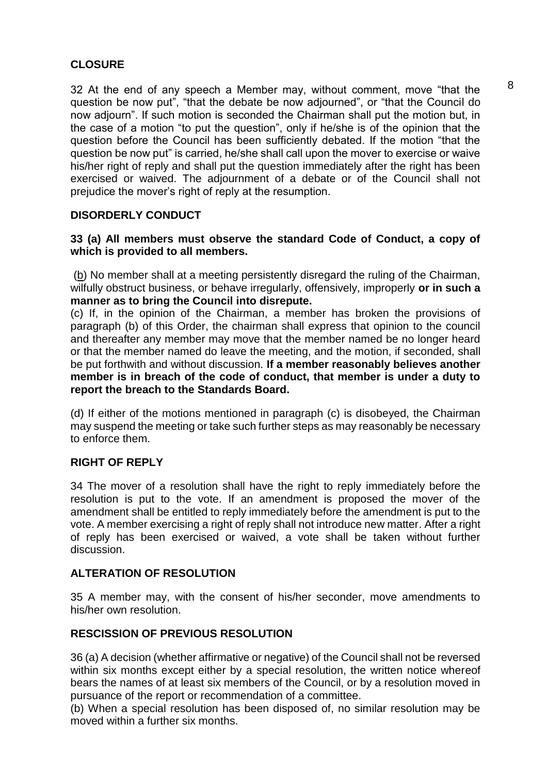## **CLOSURE**

32 At the end of any speech a Member may, without comment, move "that the question be now put", "that the debate be now adjourned", or "that the Council do now adjourn". If such motion is seconded the Chairman shall put the motion but, in the case of a motion "to put the question", only if he/she is of the opinion that the question before the Council has been sufficiently debated. If the motion "that the question be now put" is carried, he/she shall call upon the mover to exercise or waive his/her right of reply and shall put the question immediately after the right has been exercised or waived. The adjournment of a debate or of the Council shall not prejudice the mover's right of reply at the resumption.

## **DISORDERLY CONDUCT**

## **33 (a) All members must observe the standard Code of Conduct, a copy of which is provided to all members.**

(b) No member shall at a meeting persistently disregard the ruling of the Chairman, wilfully obstruct business, or behave irregularly, offensively, improperly **or in such a manner as to bring the Council into disrepute.**

(c) If, in the opinion of the Chairman, a member has broken the provisions of paragraph (b) of this Order, the chairman shall express that opinion to the council and thereafter any member may move that the member named be no longer heard or that the member named do leave the meeting, and the motion, if seconded, shall be put forthwith and without discussion. **If a member reasonably believes another member is in breach of the code of conduct, that member is under a duty to report the breach to the Standards Board.**

(d) If either of the motions mentioned in paragraph (c) is disobeyed, the Chairman may suspend the meeting or take such further steps as may reasonably be necessary to enforce them.

## **RIGHT OF REPLY**

34 The mover of a resolution shall have the right to reply immediately before the resolution is put to the vote. If an amendment is proposed the mover of the amendment shall be entitled to reply immediately before the amendment is put to the vote. A member exercising a right of reply shall not introduce new matter. After a right of reply has been exercised or waived, a vote shall be taken without further discussion.

## **ALTERATION OF RESOLUTION**

35 A member may, with the consent of his/her seconder, move amendments to his/her own resolution.

## **RESCISSION OF PREVIOUS RESOLUTION**

36 (a) A decision (whether affirmative or negative) of the Council shall not be reversed within six months except either by a special resolution, the written notice whereof bears the names of at least six members of the Council, or by a resolution moved in pursuance of the report or recommendation of a committee.

(b) When a special resolution has been disposed of, no similar resolution may be moved within a further six months.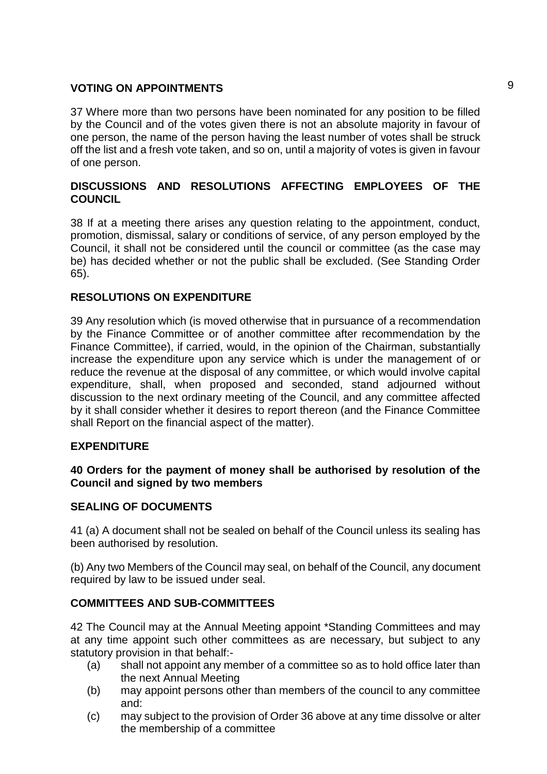## **VOTING ON APPOINTMENTS** 9

37 Where more than two persons have been nominated for any position to be filled by the Council and of the votes given there is not an absolute majority in favour of one person, the name of the person having the least number of votes shall be struck off the list and a fresh vote taken, and so on, until a majority of votes is given in favour of one person.

## **DISCUSSIONS AND RESOLUTIONS AFFECTING EMPLOYEES OF THE COUNCIL**

38 If at a meeting there arises any question relating to the appointment, conduct, promotion, dismissal, salary or conditions of service, of any person employed by the Council, it shall not be considered until the council or committee (as the case may be) has decided whether or not the public shall be excluded. (See Standing Order 65).

## **RESOLUTIONS ON EXPENDITURE**

39 Any resolution which (is moved otherwise that in pursuance of a recommendation by the Finance Committee or of another committee after recommendation by the Finance Committee), if carried, would, in the opinion of the Chairman, substantially increase the expenditure upon any service which is under the management of or reduce the revenue at the disposal of any committee, or which would involve capital expenditure, shall, when proposed and seconded, stand adjourned without discussion to the next ordinary meeting of the Council, and any committee affected by it shall consider whether it desires to report thereon (and the Finance Committee shall Report on the financial aspect of the matter).

## **EXPENDITURE**

## **40 Orders for the payment of money shall be authorised by resolution of the Council and signed by two members**

## **SEALING OF DOCUMENTS**

41 (a) A document shall not be sealed on behalf of the Council unless its sealing has been authorised by resolution.

(b) Any two Members of the Council may seal, on behalf of the Council, any document required by law to be issued under seal.

## **COMMITTEES AND SUB-COMMITTEES**

42 The Council may at the Annual Meeting appoint \*Standing Committees and may at any time appoint such other committees as are necessary, but subject to any statutory provision in that behalf:-

- (a) shall not appoint any member of a committee so as to hold office later than the next Annual Meeting
- (b) may appoint persons other than members of the council to any committee and:
- (c) may subject to the provision of Order 36 above at any time dissolve or alter the membership of a committee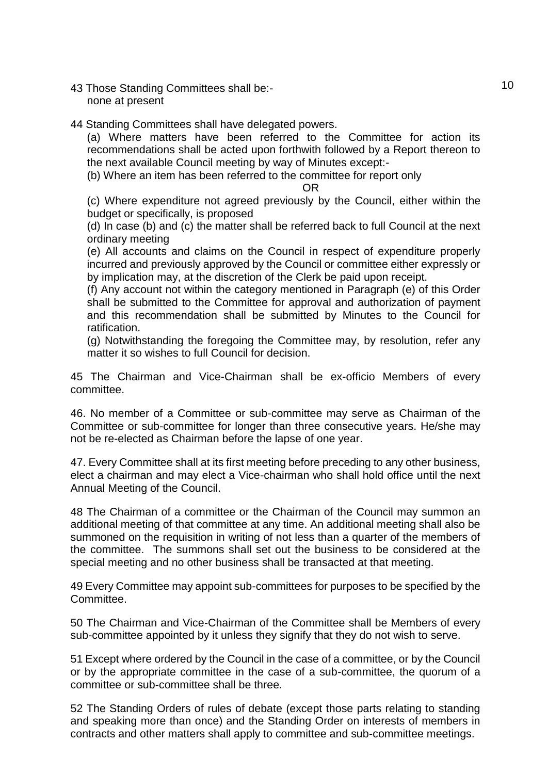- 43 Those Standing Committees shall be:- 10 none at present
- 44 Standing Committees shall have delegated powers.

(a) Where matters have been referred to the Committee for action its recommendations shall be acted upon forthwith followed by a Report thereon to the next available Council meeting by way of Minutes except:-

(b) Where an item has been referred to the committee for report only

#### OR

(c) Where expenditure not agreed previously by the Council, either within the budget or specifically, is proposed

(d) In case (b) and (c) the matter shall be referred back to full Council at the next ordinary meeting

(e) All accounts and claims on the Council in respect of expenditure properly incurred and previously approved by the Council or committee either expressly or by implication may, at the discretion of the Clerk be paid upon receipt.

(f) Any account not within the category mentioned in Paragraph (e) of this Order shall be submitted to the Committee for approval and authorization of payment and this recommendation shall be submitted by Minutes to the Council for ratification.

(g) Notwithstanding the foregoing the Committee may, by resolution, refer any matter it so wishes to full Council for decision.

45 The Chairman and Vice-Chairman shall be ex-officio Members of every committee.

46. No member of a Committee or sub-committee may serve as Chairman of the Committee or sub-committee for longer than three consecutive years. He/she may not be re-elected as Chairman before the lapse of one year.

47. Every Committee shall at its first meeting before preceding to any other business, elect a chairman and may elect a Vice-chairman who shall hold office until the next Annual Meeting of the Council.

48 The Chairman of a committee or the Chairman of the Council may summon an additional meeting of that committee at any time. An additional meeting shall also be summoned on the requisition in writing of not less than a quarter of the members of the committee. The summons shall set out the business to be considered at the special meeting and no other business shall be transacted at that meeting.

49 Every Committee may appoint sub-committees for purposes to be specified by the Committee.

50 The Chairman and Vice-Chairman of the Committee shall be Members of every sub-committee appointed by it unless they signify that they do not wish to serve.

51 Except where ordered by the Council in the case of a committee, or by the Council or by the appropriate committee in the case of a sub-committee, the quorum of a committee or sub-committee shall be three.

52 The Standing Orders of rules of debate (except those parts relating to standing and speaking more than once) and the Standing Order on interests of members in contracts and other matters shall apply to committee and sub-committee meetings.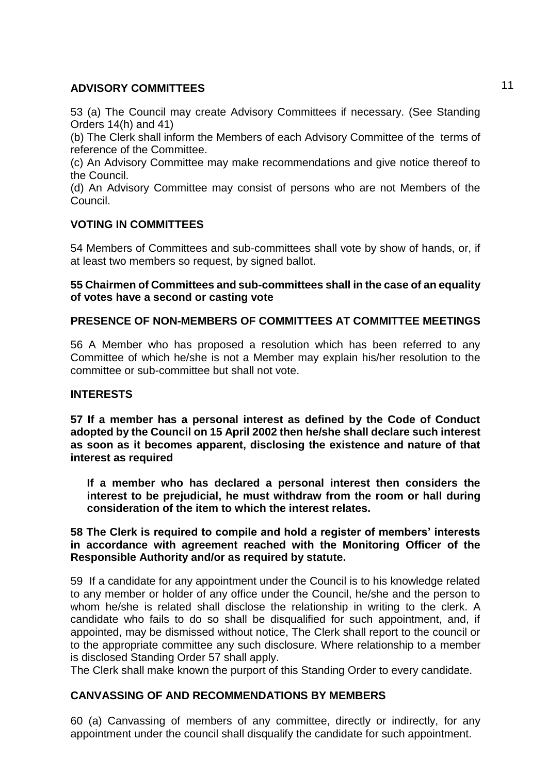## **ADVISORY COMMITTEES** 11

53 (a) The Council may create Advisory Committees if necessary. (See Standing Orders 14(h) and 41)

(b) The Clerk shall inform the Members of each Advisory Committee of the terms of reference of the Committee.

(c) An Advisory Committee may make recommendations and give notice thereof to the Council.

(d) An Advisory Committee may consist of persons who are not Members of the Council.

## **VOTING IN COMMITTEES**

54 Members of Committees and sub-committees shall vote by show of hands, or, if at least two members so request, by signed ballot.

## **55 Chairmen of Committees and sub-committees shall in the case of an equality of votes have a second or casting vote**

## **PRESENCE OF NON-MEMBERS OF COMMITTEES AT COMMITTEE MEETINGS**

56 A Member who has proposed a resolution which has been referred to any Committee of which he/she is not a Member may explain his/her resolution to the committee or sub-committee but shall not vote.

## **INTERESTS**

**57 If a member has a personal interest as defined by the Code of Conduct adopted by the Council on 15 April 2002 then he/she shall declare such interest as soon as it becomes apparent, disclosing the existence and nature of that interest as required**

**If a member who has declared a personal interest then considers the interest to be prejudicial, he must withdraw from the room or hall during consideration of the item to which the interest relates.**

**58 The Clerk is required to compile and hold a register of members' interests in accordance with agreement reached with the Monitoring Officer of the Responsible Authority and/or as required by statute.**

59 If a candidate for any appointment under the Council is to his knowledge related to any member or holder of any office under the Council, he/she and the person to whom he/she is related shall disclose the relationship in writing to the clerk. A candidate who fails to do so shall be disqualified for such appointment, and, if appointed, may be dismissed without notice, The Clerk shall report to the council or to the appropriate committee any such disclosure. Where relationship to a member is disclosed Standing Order 57 shall apply.

The Clerk shall make known the purport of this Standing Order to every candidate.

## **CANVASSING OF AND RECOMMENDATIONS BY MEMBERS**

60 (a) Canvassing of members of any committee, directly or indirectly, for any appointment under the council shall disqualify the candidate for such appointment.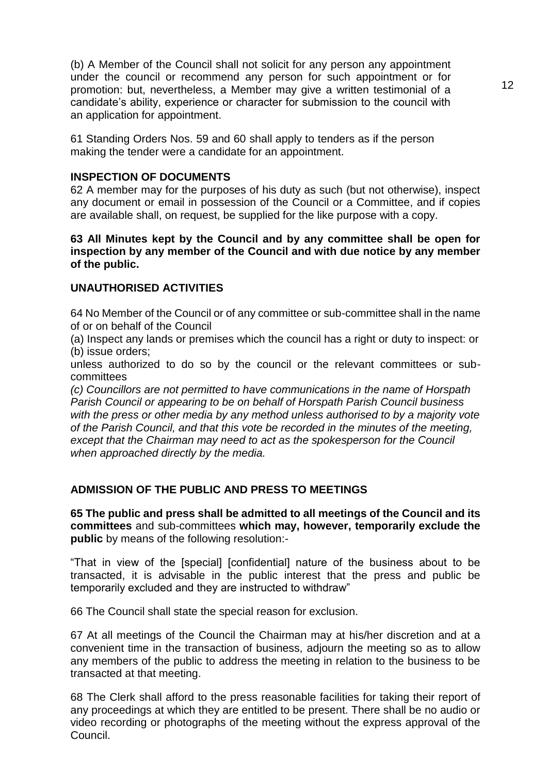(b) A Member of the Council shall not solicit for any person any appointment under the council or recommend any person for such appointment or for promotion: but, nevertheless, a Member may give a written testimonial of a candidate's ability, experience or character for submission to the council with an application for appointment.

61 Standing Orders Nos. 59 and 60 shall apply to tenders as if the person making the tender were a candidate for an appointment.

#### **INSPECTION OF DOCUMENTS**

62 A member may for the purposes of his duty as such (but not otherwise), inspect any document or email in possession of the Council or a Committee, and if copies are available shall, on request, be supplied for the like purpose with a copy.

#### **63 All Minutes kept by the Council and by any committee shall be open for inspection by any member of the Council and with due notice by any member of the public.**

## **UNAUTHORISED ACTIVITIES**

64 No Member of the Council or of any committee or sub-committee shall in the name of or on behalf of the Council

(a) Inspect any lands or premises which the council has a right or duty to inspect: or (b) issue orders;

unless authorized to do so by the council or the relevant committees or subcommittees

*(c) Councillors are not permitted to have communications in the name of Horspath Parish Council or appearing to be on behalf of Horspath Parish Council business*  with the press or other media by any method unless authorised to by a majority vote *of the Parish Council, and that this vote be recorded in the minutes of the meeting, except that the Chairman may need to act as the spokesperson for the Council when approached directly by the media.*

## **ADMISSION OF THE PUBLIC AND PRESS TO MEETINGS**

**65 The public and press shall be admitted to all meetings of the Council and its committees** and sub-committees **which may, however, temporarily exclude the public** by means of the following resolution:-

"That in view of the [special] [confidential] nature of the business about to be transacted, it is advisable in the public interest that the press and public be temporarily excluded and they are instructed to withdraw"

66 The Council shall state the special reason for exclusion.

67 At all meetings of the Council the Chairman may at his/her discretion and at a convenient time in the transaction of business, adjourn the meeting so as to allow any members of the public to address the meeting in relation to the business to be transacted at that meeting.

68 The Clerk shall afford to the press reasonable facilities for taking their report of any proceedings at which they are entitled to be present. There shall be no audio or video recording or photographs of the meeting without the express approval of the Council.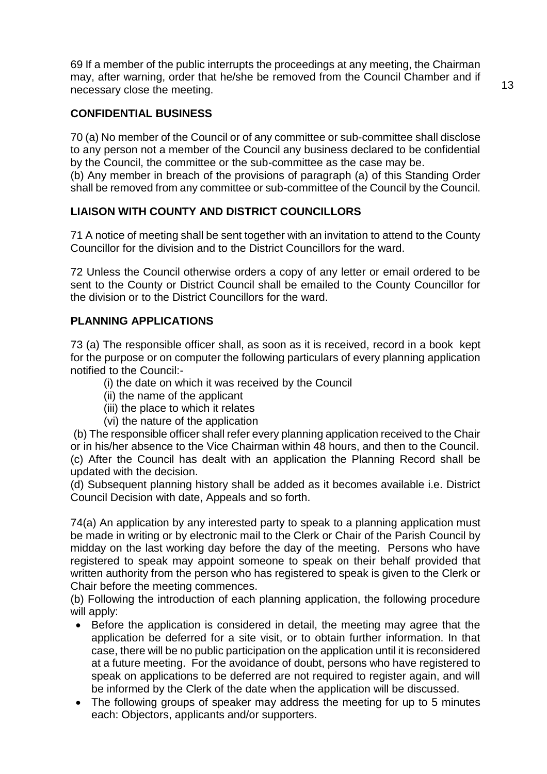69 If a member of the public interrupts the proceedings at any meeting, the Chairman may, after warning, order that he/she be removed from the Council Chamber and if necessary close the meeting.

## **CONFIDENTIAL BUSINESS**

70 (a) No member of the Council or of any committee or sub-committee shall disclose to any person not a member of the Council any business declared to be confidential by the Council, the committee or the sub-committee as the case may be.

(b) Any member in breach of the provisions of paragraph (a) of this Standing Order shall be removed from any committee or sub-committee of the Council by the Council.

## **LIAISON WITH COUNTY AND DISTRICT COUNCILLORS**

71 A notice of meeting shall be sent together with an invitation to attend to the County Councillor for the division and to the District Councillors for the ward.

72 Unless the Council otherwise orders a copy of any letter or email ordered to be sent to the County or District Council shall be emailed to the County Councillor for the division or to the District Councillors for the ward.

## **PLANNING APPLICATIONS**

73 (a) The responsible officer shall, as soon as it is received, record in a book kept for the purpose or on computer the following particulars of every planning application notified to the Council:-

- (i) the date on which it was received by the Council
- (ii) the name of the applicant
- (iii) the place to which it relates
- (vi) the nature of the application

(b) The responsible officer shall refer every planning application received to the Chair or in his/her absence to the Vice Chairman within 48 hours, and then to the Council. (c) After the Council has dealt with an application the Planning Record shall be updated with the decision.

(d) Subsequent planning history shall be added as it becomes available i.e. District Council Decision with date, Appeals and so forth.

74(a) An application by any interested party to speak to a planning application must be made in writing or by electronic mail to the Clerk or Chair of the Parish Council by midday on the last working day before the day of the meeting. Persons who have registered to speak may appoint someone to speak on their behalf provided that written authority from the person who has registered to speak is given to the Clerk or Chair before the meeting commences.

(b) Following the introduction of each planning application, the following procedure will apply:

- Before the application is considered in detail, the meeting may agree that the application be deferred for a site visit, or to obtain further information. In that case, there will be no public participation on the application until it is reconsidered at a future meeting. For the avoidance of doubt, persons who have registered to speak on applications to be deferred are not required to register again, and will be informed by the Clerk of the date when the application will be discussed.
- The following groups of speaker may address the meeting for up to 5 minutes each: Objectors, applicants and/or supporters.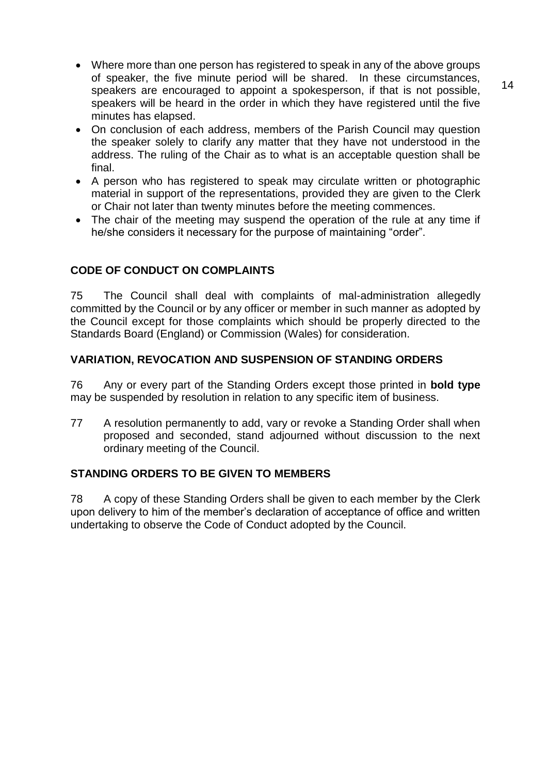- Where more than one person has registered to speak in any of the above groups of speaker, the five minute period will be shared. In these circumstances, speakers are encouraged to appoint a spokesperson, if that is not possible, speakers will be heard in the order in which they have registered until the five minutes has elapsed.
- On conclusion of each address, members of the Parish Council may question the speaker solely to clarify any matter that they have not understood in the address. The ruling of the Chair as to what is an acceptable question shall be final.
- A person who has registered to speak may circulate written or photographic material in support of the representations, provided they are given to the Clerk or Chair not later than twenty minutes before the meeting commences.
- The chair of the meeting may suspend the operation of the rule at any time if he/she considers it necessary for the purpose of maintaining "order".

## **CODE OF CONDUCT ON COMPLAINTS**

75 The Council shall deal with complaints of mal-administration allegedly committed by the Council or by any officer or member in such manner as adopted by the Council except for those complaints which should be properly directed to the Standards Board (England) or Commission (Wales) for consideration.

## **VARIATION, REVOCATION AND SUSPENSION OF STANDING ORDERS**

76 Any or every part of the Standing Orders except those printed in **bold type**  may be suspended by resolution in relation to any specific item of business.

77 A resolution permanently to add, vary or revoke a Standing Order shall when proposed and seconded, stand adjourned without discussion to the next ordinary meeting of the Council.

## **STANDING ORDERS TO BE GIVEN TO MEMBERS**

78 A copy of these Standing Orders shall be given to each member by the Clerk upon delivery to him of the member's declaration of acceptance of office and written undertaking to observe the Code of Conduct adopted by the Council.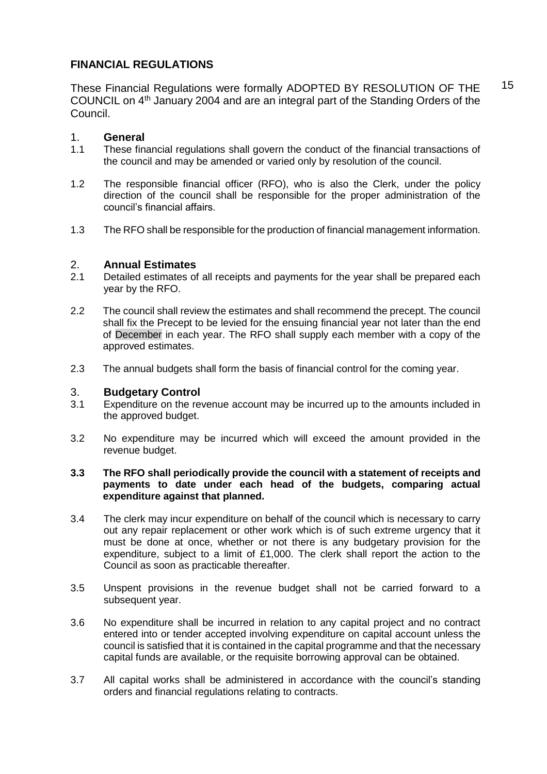## **FINANCIAL REGULATIONS**

These Financial Regulations were formally ADOPTED BY RESOLUTION OF THE COUNCIL on 4th January 2004 and are an integral part of the Standing Orders of the Council.

## 1. **General**

- 1.1 These financial regulations shall govern the conduct of the financial transactions of the council and may be amended or varied only by resolution of the council.
- 1.2 The responsible financial officer (RFO), who is also the Clerk, under the policy direction of the council shall be responsible for the proper administration of the council's financial affairs.
- 1.3 The RFO shall be responsible for the production of financial management information.

## 2. **Annual Estimates**

- 2.1 Detailed estimates of all receipts and payments for the year shall be prepared each year by the RFO.
- 2.2 The council shall review the estimates and shall recommend the precept. The council shall fix the Precept to be levied for the ensuing financial year not later than the end of December in each year. The RFO shall supply each member with a copy of the approved estimates.
- 2.3 The annual budgets shall form the basis of financial control for the coming year.

## 3. **Budgetary Control**

- 3.1 Expenditure on the revenue account may be incurred up to the amounts included in the approved budget.
- 3.2 No expenditure may be incurred which will exceed the amount provided in the revenue budget.

#### **3.3 The RFO shall periodically provide the council with a statement of receipts and payments to date under each head of the budgets, comparing actual expenditure against that planned.**

- 3.4 The clerk may incur expenditure on behalf of the council which is necessary to carry out any repair replacement or other work which is of such extreme urgency that it must be done at once, whether or not there is any budgetary provision for the expenditure, subject to a limit of  $£1,000$ . The clerk shall report the action to the Council as soon as practicable thereafter.
- 3.5 Unspent provisions in the revenue budget shall not be carried forward to a subsequent year.
- 3.6 No expenditure shall be incurred in relation to any capital project and no contract entered into or tender accepted involving expenditure on capital account unless the council is satisfied that it is contained in the capital programme and that the necessary capital funds are available, or the requisite borrowing approval can be obtained.
- 3.7 All capital works shall be administered in accordance with the council's standing orders and financial regulations relating to contracts.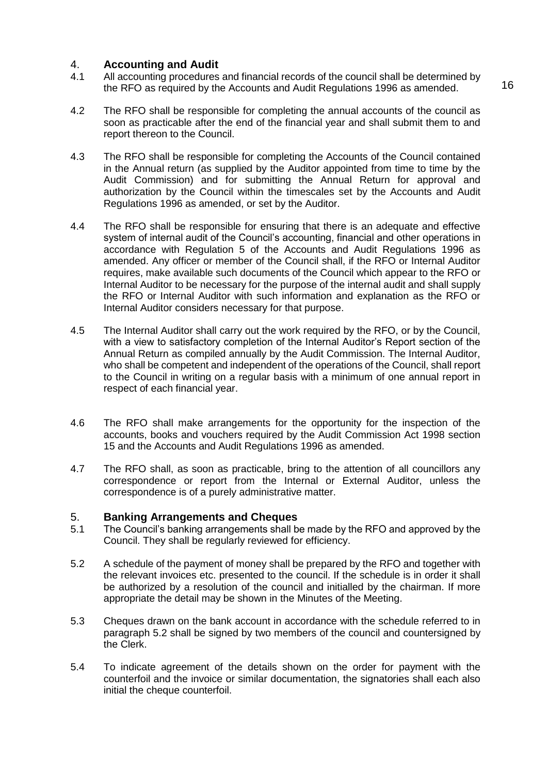## 4. **Accounting and Audit**

- 4.1 All accounting procedures and financial records of the council shall be determined by the RFO as required by the Accounts and Audit Regulations 1996 as amended.
- 4.2 The RFO shall be responsible for completing the annual accounts of the council as soon as practicable after the end of the financial year and shall submit them to and report thereon to the Council.
- 4.3 The RFO shall be responsible for completing the Accounts of the Council contained in the Annual return (as supplied by the Auditor appointed from time to time by the Audit Commission) and for submitting the Annual Return for approval and authorization by the Council within the timescales set by the Accounts and Audit Regulations 1996 as amended, or set by the Auditor.
- 4.4 The RFO shall be responsible for ensuring that there is an adequate and effective system of internal audit of the Council's accounting, financial and other operations in accordance with Regulation 5 of the Accounts and Audit Regulations 1996 as amended. Any officer or member of the Council shall, if the RFO or Internal Auditor requires, make available such documents of the Council which appear to the RFO or Internal Auditor to be necessary for the purpose of the internal audit and shall supply the RFO or Internal Auditor with such information and explanation as the RFO or Internal Auditor considers necessary for that purpose.
- 4.5 The Internal Auditor shall carry out the work required by the RFO, or by the Council, with a view to satisfactory completion of the Internal Auditor's Report section of the Annual Return as compiled annually by the Audit Commission. The Internal Auditor, who shall be competent and independent of the operations of the Council, shall report to the Council in writing on a regular basis with a minimum of one annual report in respect of each financial year.
- 4.6 The RFO shall make arrangements for the opportunity for the inspection of the accounts, books and vouchers required by the Audit Commission Act 1998 section 15 and the Accounts and Audit Regulations 1996 as amended.
- 4.7 The RFO shall, as soon as practicable, bring to the attention of all councillors any correspondence or report from the Internal or External Auditor, unless the correspondence is of a purely administrative matter.

#### 5. **Banking Arrangements and Cheques**

- 5.1 The Council's banking arrangements shall be made by the RFO and approved by the Council. They shall be regularly reviewed for efficiency.
- 5.2 A schedule of the payment of money shall be prepared by the RFO and together with the relevant invoices etc. presented to the council. If the schedule is in order it shall be authorized by a resolution of the council and initialled by the chairman. If more appropriate the detail may be shown in the Minutes of the Meeting.
- 5.3 Cheques drawn on the bank account in accordance with the schedule referred to in paragraph 5.2 shall be signed by two members of the council and countersigned by the Clerk.
- 5.4 To indicate agreement of the details shown on the order for payment with the counterfoil and the invoice or similar documentation, the signatories shall each also initial the cheque counterfoil.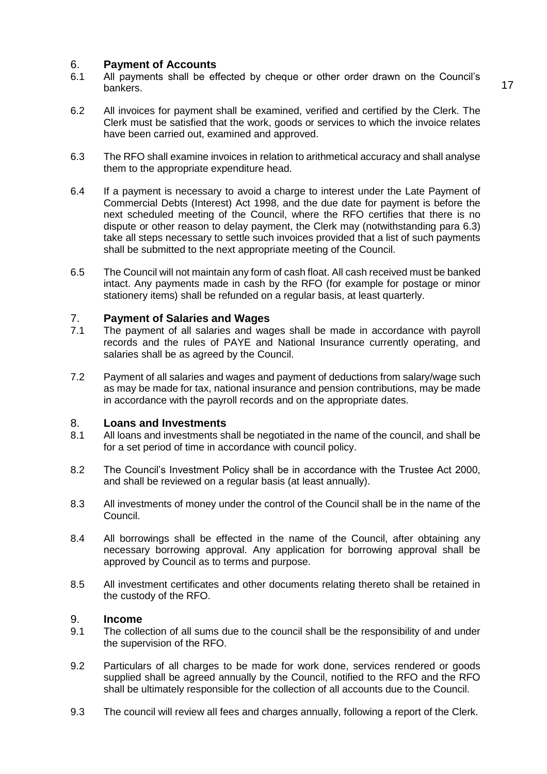#### 6. **Payment of Accounts**

- 6.1 All payments shall be effected by cheque or other order drawn on the Council's bankers.
- 6.2 All invoices for payment shall be examined, verified and certified by the Clerk. The Clerk must be satisfied that the work, goods or services to which the invoice relates have been carried out, examined and approved.
- 6.3 The RFO shall examine invoices in relation to arithmetical accuracy and shall analyse them to the appropriate expenditure head.
- 6.4 If a payment is necessary to avoid a charge to interest under the Late Payment of Commercial Debts (Interest) Act 1998, and the due date for payment is before the next scheduled meeting of the Council, where the RFO certifies that there is no dispute or other reason to delay payment, the Clerk may (notwithstanding para 6.3) take all steps necessary to settle such invoices provided that a list of such payments shall be submitted to the next appropriate meeting of the Council.
- 6.5 The Council will not maintain any form of cash float. All cash received must be banked intact. Any payments made in cash by the RFO (for example for postage or minor stationery items) shall be refunded on a regular basis, at least quarterly.

#### 7. **Payment of Salaries and Wages**

- 7.1 The payment of all salaries and wages shall be made in accordance with payroll records and the rules of PAYE and National Insurance currently operating, and salaries shall be as agreed by the Council.
- 7.2 Payment of all salaries and wages and payment of deductions from salary/wage such as may be made for tax, national insurance and pension contributions, may be made in accordance with the payroll records and on the appropriate dates.

#### 8. **Loans and Investments**

- 8.1 All loans and investments shall be negotiated in the name of the council, and shall be for a set period of time in accordance with council policy.
- 8.2 The Council's Investment Policy shall be in accordance with the Trustee Act 2000, and shall be reviewed on a regular basis (at least annually).
- 8.3 All investments of money under the control of the Council shall be in the name of the Council.
- 8.4 All borrowings shall be effected in the name of the Council, after obtaining any necessary borrowing approval. Any application for borrowing approval shall be approved by Council as to terms and purpose.
- 8.5 All investment certificates and other documents relating thereto shall be retained in the custody of the RFO.

#### 9. **Income**

- 9.1 The collection of all sums due to the council shall be the responsibility of and under the supervision of the RFO.
- 9.2 Particulars of all charges to be made for work done, services rendered or goods supplied shall be agreed annually by the Council, notified to the RFO and the RFO shall be ultimately responsible for the collection of all accounts due to the Council.
- 9.3 The council will review all fees and charges annually, following a report of the Clerk.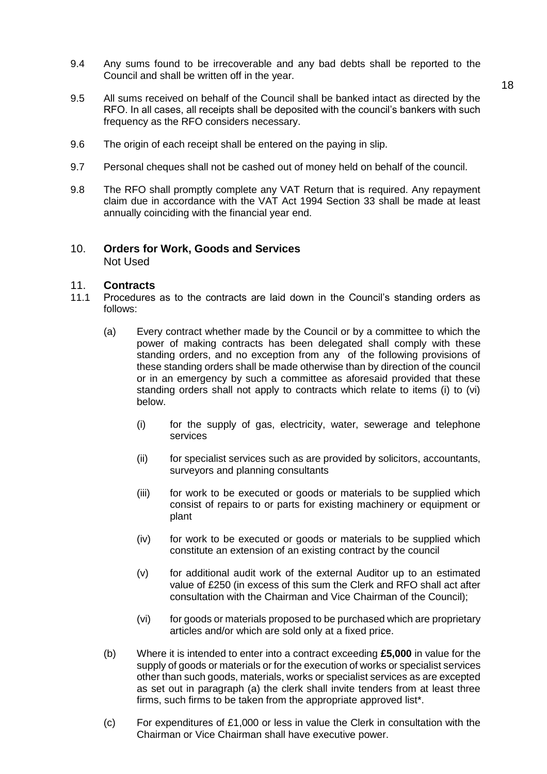9.4 Any sums found to be irrecoverable and any bad debts shall be reported to the Council and shall be written off in the year.

- 9.5 All sums received on behalf of the Council shall be banked intact as directed by the RFO. In all cases, all receipts shall be deposited with the council's bankers with such frequency as the RFO considers necessary.
- 9.6 The origin of each receipt shall be entered on the paying in slip.
- 9.7 Personal cheques shall not be cashed out of money held on behalf of the council.
- 9.8 The RFO shall promptly complete any VAT Return that is required. Any repayment claim due in accordance with the VAT Act 1994 Section 33 shall be made at least annually coinciding with the financial year end.

#### 10. **Orders for Work, Goods and Services** Not Used

#### 11. **Contracts**

- 11.1 Procedures as to the contracts are laid down in the Council's standing orders as follows:
	- (a) Every contract whether made by the Council or by a committee to which the power of making contracts has been delegated shall comply with these standing orders, and no exception from any of the following provisions of these standing orders shall be made otherwise than by direction of the council or in an emergency by such a committee as aforesaid provided that these standing orders shall not apply to contracts which relate to items (i) to (vi) below.
		- (i) for the supply of gas, electricity, water, sewerage and telephone services
		- (ii) for specialist services such as are provided by solicitors, accountants, surveyors and planning consultants
		- (iii) for work to be executed or goods or materials to be supplied which consist of repairs to or parts for existing machinery or equipment or plant
		- (iv) for work to be executed or goods or materials to be supplied which constitute an extension of an existing contract by the council
		- (v) for additional audit work of the external Auditor up to an estimated value of £250 (in excess of this sum the Clerk and RFO shall act after consultation with the Chairman and Vice Chairman of the Council);
		- (vi) for goods or materials proposed to be purchased which are proprietary articles and/or which are sold only at a fixed price.
	- (b) Where it is intended to enter into a contract exceeding **£5,000** in value for the supply of goods or materials or for the execution of works or specialist services other than such goods, materials, works or specialist services as are excepted as set out in paragraph (a) the clerk shall invite tenders from at least three firms, such firms to be taken from the appropriate approved list\*.
	- (c) For expenditures of £1,000 or less in value the Clerk in consultation with the Chairman or Vice Chairman shall have executive power.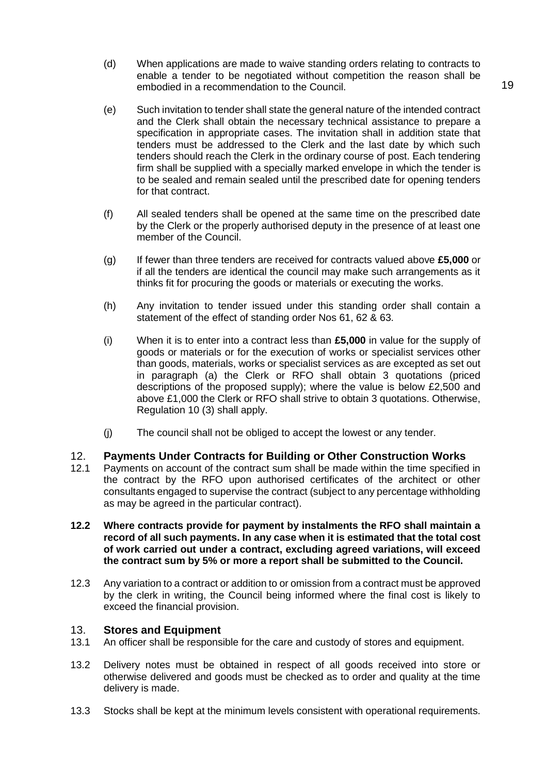- (d) When applications are made to waive standing orders relating to contracts to enable a tender to be negotiated without competition the reason shall be embodied in a recommendation to the Council.
- (e) Such invitation to tender shall state the general nature of the intended contract and the Clerk shall obtain the necessary technical assistance to prepare a specification in appropriate cases. The invitation shall in addition state that tenders must be addressed to the Clerk and the last date by which such tenders should reach the Clerk in the ordinary course of post. Each tendering firm shall be supplied with a specially marked envelope in which the tender is to be sealed and remain sealed until the prescribed date for opening tenders for that contract.
- (f) All sealed tenders shall be opened at the same time on the prescribed date by the Clerk or the properly authorised deputy in the presence of at least one member of the Council.
- (g) If fewer than three tenders are received for contracts valued above **£5,000** or if all the tenders are identical the council may make such arrangements as it thinks fit for procuring the goods or materials or executing the works.
- (h) Any invitation to tender issued under this standing order shall contain a statement of the effect of standing order Nos 61, 62 & 63.
- (i) When it is to enter into a contract less than **£5,000** in value for the supply of goods or materials or for the execution of works or specialist services other than goods, materials, works or specialist services as are excepted as set out in paragraph (a) the Clerk or RFO shall obtain 3 quotations (priced descriptions of the proposed supply); where the value is below £2,500 and above £1,000 the Clerk or RFO shall strive to obtain 3 quotations. Otherwise, Regulation 10 (3) shall apply.
- (j) The council shall not be obliged to accept the lowest or any tender.

## 12. **Payments Under Contracts for Building or Other Construction Works**

- 12.1 Payments on account of the contract sum shall be made within the time specified in the contract by the RFO upon authorised certificates of the architect or other consultants engaged to supervise the contract (subject to any percentage withholding as may be agreed in the particular contract).
- **12.2 Where contracts provide for payment by instalments the RFO shall maintain a record of all such payments. In any case when it is estimated that the total cost of work carried out under a contract, excluding agreed variations, will exceed the contract sum by 5% or more a report shall be submitted to the Council.**
- 12.3 Any variation to a contract or addition to or omission from a contract must be approved by the clerk in writing, the Council being informed where the final cost is likely to exceed the financial provision.

#### 13. **Stores and Equipment**

- 13.1 An officer shall be responsible for the care and custody of stores and equipment.
- 13.2 Delivery notes must be obtained in respect of all goods received into store or otherwise delivered and goods must be checked as to order and quality at the time delivery is made.
- 13.3 Stocks shall be kept at the minimum levels consistent with operational requirements.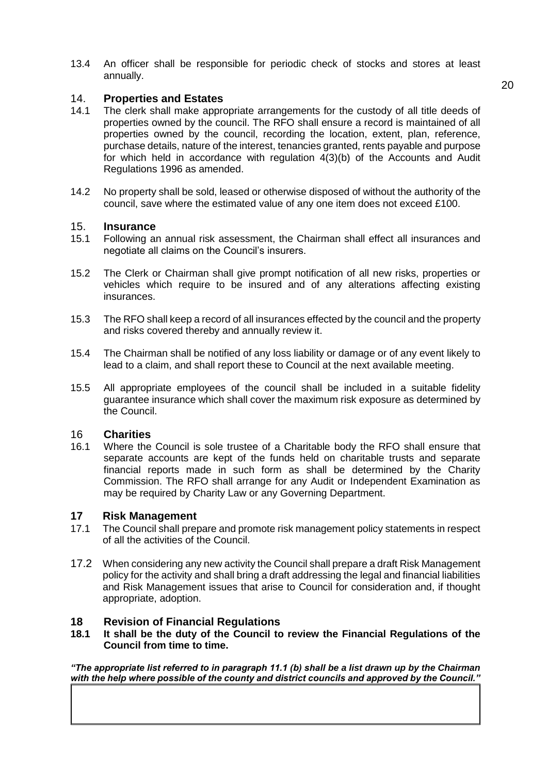13.4 An officer shall be responsible for periodic check of stocks and stores at least annually.

#### 14. **Properties and Estates**

- 14.1 The clerk shall make appropriate arrangements for the custody of all title deeds of properties owned by the council. The RFO shall ensure a record is maintained of all properties owned by the council, recording the location, extent, plan, reference, purchase details, nature of the interest, tenancies granted, rents payable and purpose for which held in accordance with regulation 4(3)(b) of the Accounts and Audit Regulations 1996 as amended.
- 14.2 No property shall be sold, leased or otherwise disposed of without the authority of the council, save where the estimated value of any one item does not exceed £100.

#### 15. **Insurance**

- 15.1 Following an annual risk assessment, the Chairman shall effect all insurances and negotiate all claims on the Council's insurers.
- 15.2 The Clerk or Chairman shall give prompt notification of all new risks, properties or vehicles which require to be insured and of any alterations affecting existing insurances.
- 15.3 The RFO shall keep a record of all insurances effected by the council and the property and risks covered thereby and annually review it.
- 15.4 The Chairman shall be notified of any loss liability or damage or of any event likely to lead to a claim, and shall report these to Council at the next available meeting.
- 15.5 All appropriate employees of the council shall be included in a suitable fidelity guarantee insurance which shall cover the maximum risk exposure as determined by the Council.

# 16 **Charities**

Where the Council is sole trustee of a Charitable body the RFO shall ensure that separate accounts are kept of the funds held on charitable trusts and separate financial reports made in such form as shall be determined by the Charity Commission. The RFO shall arrange for any Audit or Independent Examination as may be required by Charity Law or any Governing Department.

#### **17 Risk Management**

- 17.1 The Council shall prepare and promote risk management policy statements in respect of all the activities of the Council.
- 17.2 When considering any new activity the Council shall prepare a draft Risk Management policy for the activity and shall bring a draft addressing the legal and financial liabilities and Risk Management issues that arise to Council for consideration and, if thought appropriate, adoption.

#### **18 Revision of Financial Regulations**

**18.1 It shall be the duty of the Council to review the Financial Regulations of the Council from time to time.**

*"The appropriate list referred to in paragraph 11.1 (b) shall be a list drawn up by the Chairman with the help where possible of the county and district councils and approved by the Council."*